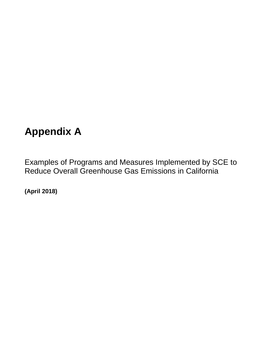# **Appendix A**

Examples of Programs and Measures Implemented by SCE to Reduce Overall Greenhouse Gas Emissions in California

**(April 2018)**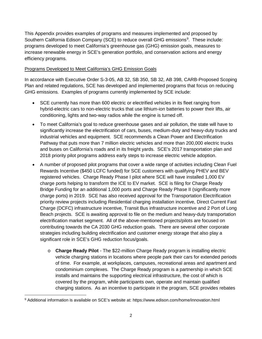This Appendix provides examples of programs and measures implemented and proposed by Southern California Edison Company (SCE) to reduce overall GHG emissions<sup>[9](#page-1-0)</sup>. These include: programs developed to meet California's greenhouse gas (GHG) emission goals, measures to increase renewable energy in SCE's generation portfolio, and conservation actions and energy efficiency programs.

## Programs Developed to Meet California's GHG Emission Goals

In accordance with Executive Order S-3-05, AB 32, SB 350, SB 32, AB 398, CARB-Proposed Scoping Plan and related regulations, SCE has developed and implemented programs that focus on reducing GHG emissions. Examples of programs currently implemented by SCE include:

- SCE currently has more than 600 electric or electrified vehicles in its fleet ranging from hybrid-electric cars to non-electric trucks that use lithium-ion batteries to power their lifts, air conditioning, lights and two-way radios while the engine is turned off.
- To meet California's goal to reduce greenhouse gases and air pollution, the state will have to significantly increase the electrification of cars, buses, medium-duty and heavy-duty trucks and industrial vehicles and equipment. SCE recommends a Clean Power and Electrification Pathway that puts more than 7 million electric vehicles and more than 200,000 electric trucks and buses on California's roads and in its freight yards. SCE's 2017 transportation plan and 2018 priority pilot programs address early steps to increase electric vehicle adoption.
- A number of proposed pilot programs that cover a wide range of activities including Clean Fuel Rewards Incentive (\$450 LCFC funded) for SCE customers with qualifying PHEV and BEV registered vehicles. Charge Ready Phase I pilot where SCE will have installed 1,000 EV charge ports helping to transform the ICE to EV market. SCE is filing for Charge Ready Bridge Funding for an additional 1,000 ports and Charge Ready Phase II (significantly more charge ports) in 2019. SCE has also received approval for the Transportation Electrification priority review projects including Residential charging installation incentive, Direct Current Fast Charge (DCFC) infrastructure incentive, Transit Bus infrastructure incentive and 2 Port of Long Beach projects. SCE is awaiting approval to file on the medium and heavy-duty transportation electrification market segment. All of the above-mentioned projects/pilots are focused on contributing towards the CA 2030 GHG reduction goals. There are several other corporate strategies including building electrification and customer energy storage that also play a significant role in SCE's GHG reduction focus/goals.
	- o **Charge Ready Pilot** The \$22-million Charge Ready program is installing electric vehicle charging stations in locations where people park their cars for extended periods of time. For example, at workplaces, campuses, recreational areas and apartment and condominium complexes. The Charge Ready program is a partnership in which SCE installs and maintains the supporting electrical infrastructure, the cost of which is covered by the program, while participants own, operate and maintain qualified charging stations. As an incentive to participate in the program, SCE provides rebates

 $\overline{a}$ 

<span id="page-1-0"></span><sup>9</sup> Additional information is available on SCE's website at: https://www.edison.com/home/innovation.html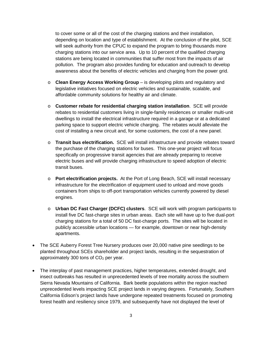to cover some or all of the cost of the charging stations and their installation, depending on location and type of establishment. At the conclusion of the pilot, SCE will seek authority from the CPUC to expand the program to bring thousands more charging stations into our service area. Up to 10 percent of the qualified charging stations are being located in communities that suffer most from the impacts of air pollution. The program also provides funding for education and outreach to develop awareness about the benefits of electric vehicles and charging from the power grid.

- o **Clean Energy Access Working Group** is developing pilots and regulatory and legislative initiatives focused on electric vehicles and sustainable, scalable, and affordable community solutions for healthy air and climate.
- o **Customer rebate for residential charging station installation**. SCE will provide rebates to residential customers living in single-family residences or smaller multi-unit dwellings to install the electrical infrastructure required in a garage or at a dedicated parking space to support electric vehicle charging. The rebates would alleviate the cost of installing a new circuit and, for some customers, the cost of a new panel.
- o **Transit bus electrification.** SCE will install infrastructure and provide rebates toward the purchase of the charging stations for buses. This one-year project will focus specifically on progressive transit agencies that are already preparing to receive electric buses and will provide charging infrastructure to speed adoption of electric transit buses.
- o **Port electrification projects.** At the Port of Long Beach, SCE will install necessary infrastructure for the electrification of equipment used to unload and move goods containers from ships to off-port transportation vehicles currently powered by diesel engines.
- o **Urban DC Fast Charger (DCFC) clusters**. SCE will work with program participants to install five DC fast-charge sites in urban areas. Each site will have up to five dual-port charging stations for a total of 50 DC fast-charge ports. The sites will be located in publicly accessible urban locations — for example, downtown or near high-density apartments.
- The SCE Auberry Forest Tree Nursery produces over 20,000 native pine seedlings to be planted throughout SCEs shareholder and project lands, resulting in the sequestration of approximately 300 tons of  $CO<sub>2</sub>$  per year.
- The interplay of past management practices, higher temperatures, extended drought, and insect outbreaks has resulted in unprecedented levels of tree mortality across the southern Sierra Nevada Mountains of California. Bark beetle populations within the region reached unprecedented levels impacting SCE project lands in varying degrees. Fortunately, Southern California Edison's project lands have undergone repeated treatments focused on promoting forest health and resiliency since 1979, and subsequently have not displayed the level of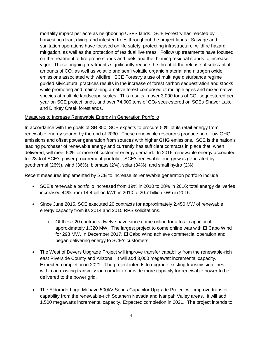mortality impact per acre as neighboring USFS lands. SCE Forestry has reacted by harvesting dead, dying, and infested trees throughout the project lands. Salvage and sanitation operations have focused on life safety, protecting infrastructure, wildfire hazard mitigation, as well as the protection of residual live trees. Follow up treatments have focused on the treatment of fire prone stands and fuels and the thinning residual stands to increase vigor. These ongoing treatments significantly reduce the threat of the release of substantial amounts of  $CO<sub>2</sub>$  as well as volatile and semi volatile organic material and nitrogen oxide emissions associated with wildfire. SCE Forestry's use of multi age disturbance regime guided silvicultural practices results in the increase of forest carbon sequestration and stocks while promoting and maintaining a native forest comprised of multiple ages and mixed native species at multiple landscape scales. This results in over 3,000 tons of  $CO<sub>2</sub>$  sequestered per year on SCE project lands, and over 74,000 tons of  $CO<sub>2</sub>$  sequestered on SCEs Shaver Lake and Dinkey Creek forestlands.

#### Measures to Increase Renewable Energy in Generation Portfolio

In accordance with the goals of SB 350, SCE expects to procure 50% of its retail energy from renewable energy source by the end of 2030. These renewable resources produce no or low GHG emissions and offset power generation from sources with higher GHG emissions. SCE is the nation's leading purchaser of renewable energy and currently has sufficient contracts in place that, when delivered, will meet 50% or more of customer energy demand. In 2016, renewable energy accounted for 28% of SCE's power procurement portfolio. SCE's renewable energy was generated by geothermal (26%), wind (36%), biomass (2%), solar (34%), and small hydro (2%).

Recent measures implemented by SCE to increase its renewable generation portfolio include:

- SCE's renewable portfolio increased from 19% in 2010 to 28% in 2016; total energy deliveries increased 44% from 14.4 billion kWh in 2010 to 20.7 billion kWh in 2016.
- Since June 2015, SCE executed 20 contracts for approximately 2,450 MW of renewable energy capacity from its 2014 and 2015 RPS solicitations.
	- o Of these 20 contracts, twelve have since come online for a total capacity of approximately 1,320 MW. The largest project to come online was with El Cabo Wind for 298 MW. In December 2017, El Cabo Wind achieve commercial operation and began delivering energy to SCE's customers.
- The West of Devers Upgrade Project will improve transfer capability from the renewable-rich east Riverside County and Arizona. It will add 3,000 megawatt incremental capacity. Expected completion in 2021. The project intends to upgrade existing transmission lines within an existing transmission corridor to provide more capacity for renewable power to be delivered to the power grid.
- The Eldorado-Lugo-Mohave 500kV Series Capacitor Upgrade Project will improve transfer capability from the renewable-rich Southern Nevada and Ivanpah Valley areas. It will add 1,500 megawatts incremental capacity. Expected completion in 2021. The project intends to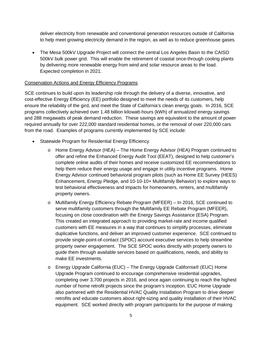deliver electricity from renewable and conventional generation resources outside of California to help meet growing electricity demand in the region, as well as to reduce greenhouse gases.

• The Mesa 500kV Upgrade Project will connect the central Los Angeles Basin to the CAISO 500kV bulk power grid. This will enable the retirement of coastal once-through cooling plants by delivering more renewable energy from wind and solar resource areas to the load. Expected completion in 2021.

## Conservation Actions and Energy Efficiency Programs

SCE continues to build upon its leadership role through the delivery of a diverse, innovative, and cost-effective Energy Efficiency (EE) portfolio designed to meet the needs of its customers, help ensure the reliability of the gird, and meet the State of California's clean energy goals. In 2016, SCE programs collectively achieved over 1.48 billion kilowatt-hours (kWh) of annualized energy savings and 288 megawatts of peak demand reduction. These savings are equivalent to the amount of power required annually for over 222,000 standard residential homes, or the removal of over 220,000 cars from the road. Examples of programs currently implemented by SCE include:

- Statewide Program for Residential Energy Efficiency
	- o Home Energy Advisor (HEA) The Home Energy Advisor (HEA) Program continued to offer and refine the Enhanced Energy Audit Tool (EEAT), designed to help customer's complete online audits of their homes and receive customized EE recommendations to help them reduce their energy usage and engage in utility incentive programs. Home Energy Advisor continued behavioral program pilots (such as Home EE Survey (HEES) Enhancement, Energy Pledge, and 10-10-10+ Multifamily Behavior) to explore ways to test behavioral effectiveness and impacts for homeowners, renters, and multifamily property owners.
	- o Multifamily Energy Efficiency Rebate Program (MFEER) In 2016, SCE continued to serve multifamily customers through the Multifamily EE Rebate Program (MFEER), focusing on close coordination with the Energy Savings Assistance (ESA) Program. This created an integrated approach to providing market-rate and income qualified customers with EE measures in a way that continues to simplify processes, eliminate duplicative functions, and deliver an improved customer experience. SCE continued to provide single-point-of-contact (SPOC) account executive services to help streamline property owner engagement. The SCE SPOC works directly with property owners to guide them through available services based on qualifications, needs, and ability to make EE investments.
	- o Energy Upgrade California (EUC) The Energy Upgrade California® (EUC) Home Upgrade Program continued to encourage comprehensive residential upgrades, completing over 3,700 projects in 2016, and once again continuing to reach the highest number of home retrofit projects since the program's inception. EUC Home Upgrade also partnered with the Residential HVAC Quality Installation Program to drive deeper retrofits and educate customers about right-sizing and quality installation of their HVAC equipment. SCE worked directly with program participants for the purpose of making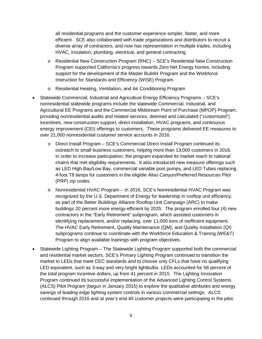all residential programs and the customer experience simpler, faster, and more efficient. SCE also collaborated with trade organizations and distributors to recruit a diverse array of contractors, and now has representation in multiple trades, including HVAC, insulation, plumbing, electrical, and general contracting.

- o Residential New Construction Program (RNC) SCE's Residential New Construction Program supported California's progress towards Zero Net Energy homes, including support for the development of the Master Builder Program and the Workforce Instruction for Standards and Efficiency (WISE) Program.
- o Residential Heating, Ventilation, and Air Conditioning Program
- Statewide Commercial, Industrial and Agriculture Energy Efficiency Programs SCE's nonresidential statewide programs include the statewide Commercial, Industrial, and Agricultural EE Programs and the Commercial Midstream Point of Purchase (MPOP) Program, providing nonresidential audits and related services, deemed and calculated ("customized") incentives, new construction support, direct installation, HVAC programs, and continuous energy improvement (CEI) offerings to customers. These programs delivered EE measures to over 21,000 nonresidential customer service accounts in 2016.
	- o Direct Install Program SCE's Commercial Direct Install Program continued its outreach to small business customers, helping more than 13,000 customers in 2016. In order to increase participation, the program expanded its market reach to national chains that met eligibility requirements. It also introduced new measure offerings such as LED High Bay/Low Bay, commercial variable pool pumps, and LED Tubes replacing 4-foot T8 lamps for customers in the eligible Aliso Canyon/Preferred Resources Pilot (PRP) zip codes.
	- o Nonresidential HVAC Program In 2016, SCE's Nonresidential HVAC Program was recognized by the U.S. Department of Energy for leadership in rooftop unit efficiency, as part of the Better Buildings Alliance Rooftop Unit Campaign (ARC) to make buildings 20 percent more energy-efficient by 2025. The program enrolled four (4) new contractors in the "Early Retirement" subprogram, which assisted customers in identifying replacement, and/or replacing, over 11,000 tons of inefficient equipment. The HVAC Early Retirement, Quality Maintenance (QM), and Quality Installation (QI) subprograms continue to coordinate with the Workforce Education & Training (WE&T) Program to align available trainings with program objectives.
- Statewide Lighting Program The Statewide Lighting Program supported both the commercial and residential market sectors. SCE's Primary Lighting Program continued to transition the market to LEDs that meet CEC standards and to choose only CFLs that have no qualifying LED equivalent, such as 3-way and very bright lightbulbs. LEDs accounted for 58 percent of the total program incentive dollars, up from 41 percent in 2015. The Lighting Innovation Program continued its successful implementation of the Advanced Lighting Control Systems (ALCS) Pilot Program (begun in January 2015) to explore the qualitative attributes and energy savings of leading-edge lighting system controls in various commercial settings. ALCS continued through 2016 and at year's end 40 customer projects were participating in the pilot.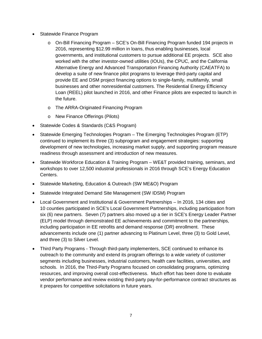- Statewide Finance Program
	- o On-Bill Financing Program SCE's On-Bill Financing Program funded 194 projects in 2016, representing \$12.99 million in loans, thus enabling businesses, local governments, and institutional customers to pursue additional EE projects. SCE also worked with the other investor-owned utilities (IOUs), the CPUC, and the California Alternative Energy and Advanced Transportation Financing Authority (CAEATFA) to develop a suite of new finance pilot programs to leverage third-party capital and provide EE and DSM project financing options to single-family, multifamily, small businesses and other nonresidential customers. The Residential Energy Efficiency Loan (REEL) pilot launched in 2016, and other Finance pilots are expected to launch in the future.
	- o The ARRA-Originated Financing Program
	- o New Finance Offerings (Pilots)
- Statewide Codes & Standards (C&S Program)
- Statewide Emerging Technologies Program The Emerging Technologies Program (ETP) continued to implement its three (3) subprogram and engagement strategies: supporting development of new technologies, increasing market supply, and supporting program measure readiness through assessment and introduction of new measures.
- Statewide Workforce Education & Training Program WE&T provided training, seminars, and workshops to over 12,500 industrial professionals in 2016 through SCE's Energy Education Centers.
- Statewide Marketing, Education & Outreach (SW ME&O) Program
- Statewide Integrated Demand Site Management (SW IDSM) Program
- Local Government and Institutional & Government Partnerships In 2016, 134 cities and 10 counties participated in SCE's Local Government Partnerships, including participation from six (6) new partners. Seven (7) partners also moved up a tier in SCE's Energy Leader Partner (ELP) model through demonstrated EE achievements and commitment to the partnerships, including participation in EE retrofits and demand response (DR) enrollment. These advancements include one (1) partner advancing to Platinum Level, three (3) to Gold Level, and three (3) to Silver Level.
- Third Party Programs Through third-party implementers, SCE continued to enhance its outreach to the community and extend its program offerings to a wide variety of customer segments including businesses, industrial customers, health care facilities, universities, and schools. In 2016, the Third-Party Programs focused on consolidating programs, optimizing resources, and improving overall cost-effectiveness. Much effort has been done to evaluate vendor performance and review existing third-party pay-for-performance contract structures as it prepares for competitive solicitations in future years.